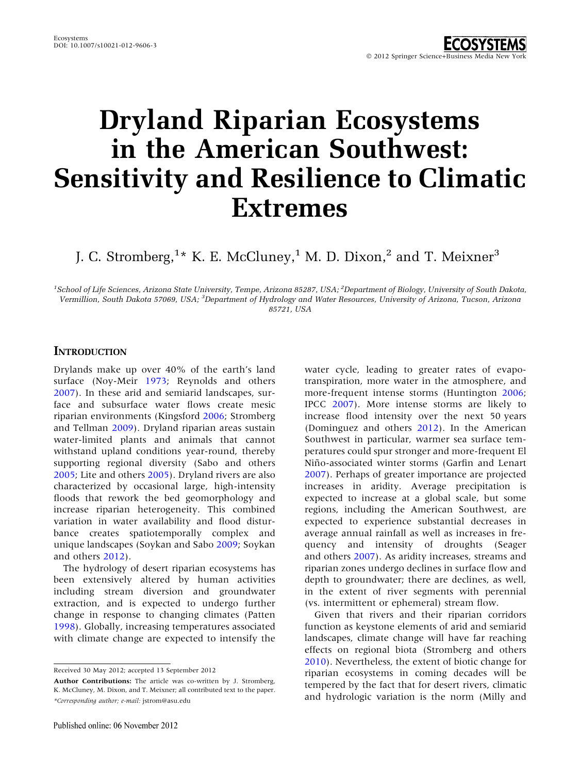# Dryland Riparian Ecosystems in the American Southwest: Sensitivity and Resilience to Climatic Extremes

J. C. Stromberg, $^{1\star}$  K. E. McCluney, $^{1}$  M. D. Dixon, $^{2}$  and T. Meixner $^{3}$ 

<sup>1</sup>School of Life Sciences, Arizona State University, Tempe, Arizona 85287, USA; <sup>2</sup>Department of Biology, University of South Dakota, Vermillion, South Dakota 57069, USA; <sup>3</sup>Department of Hydrology and Water Resources, University of Arizona, Tucson, Arizona 85721, USA

#### **INTRODUCTION**

Drylands make up over 40% of the earth's land surface (Noy-Meir [1973;](#page-4-0) Reynolds and others [2007\)](#page-4-0). In these arid and semiarid landscapes, surface and subsurface water flows create mesic riparian environments (Kingsford [2006;](#page-4-0) Stromberg and Tellman [2009\)](#page-4-0). Dryland riparian areas sustain water-limited plants and animals that cannot withstand upland conditions year-round, thereby supporting regional diversity (Sabo and others [2005;](#page-4-0) Lite and others [2005](#page-4-0)). Dryland rivers are also characterized by occasional large, high-intensity floods that rework the bed geomorphology and increase riparian heterogeneity. This combined variation in water availability and flood disturbance creates spatiotemporally complex and unique landscapes (Soykan and Sabo [2009;](#page-4-0) Soykan and others [2012\)](#page-4-0).

The hydrology of desert riparian ecosystems has been extensively altered by human activities including stream diversion and groundwater extraction, and is expected to undergo further change in response to changing climates (Patten [1998\)](#page-4-0). Globally, increasing temperatures associated with climate change are expected to intensify the

Received 30 May 2012; accepted 13 September 2012

water cycle, leading to greater rates of evapotranspiration, more water in the atmosphere, and more-frequent intense storms (Huntington [2006](#page-4-0); IPCC [2007](#page-4-0)). More intense storms are likely to increase flood intensity over the next 50 years (Dominguez and others [2012](#page-3-0)). In the American Southwest in particular, warmer sea surface temperatures could spur stronger and more-frequent El Niño-associated winter storms (Garfin and Lenart [2007\)](#page-3-0). Perhaps of greater importance are projected increases in aridity. Average precipitation is expected to increase at a global scale, but some regions, including the American Southwest, are expected to experience substantial decreases in average annual rainfall as well as increases in frequency and intensity of droughts (Seager and others [2007](#page-4-0)). As aridity increases, streams and riparian zones undergo declines in surface flow and depth to groundwater; there are declines, as well, in the extent of river segments with perennial (vs. intermittent or ephemeral) stream flow.

Given that rivers and their riparian corridors function as keystone elements of arid and semiarid landscapes, climate change will have far reaching effects on regional biota (Stromberg and others [2010\)](#page-4-0). Nevertheless, the extent of biotic change for riparian ecosystems in coming decades will be tempered by the fact that for desert rivers, climatic and hydrologic variation is the norm (Milly and

Author Contributions: The article was co-written by J. Stromberg, K. McCluney, M. Dixon, and T. Meixner; all contributed text to the paper. \*Corresponding author; e-mail: jstrom@asu.edu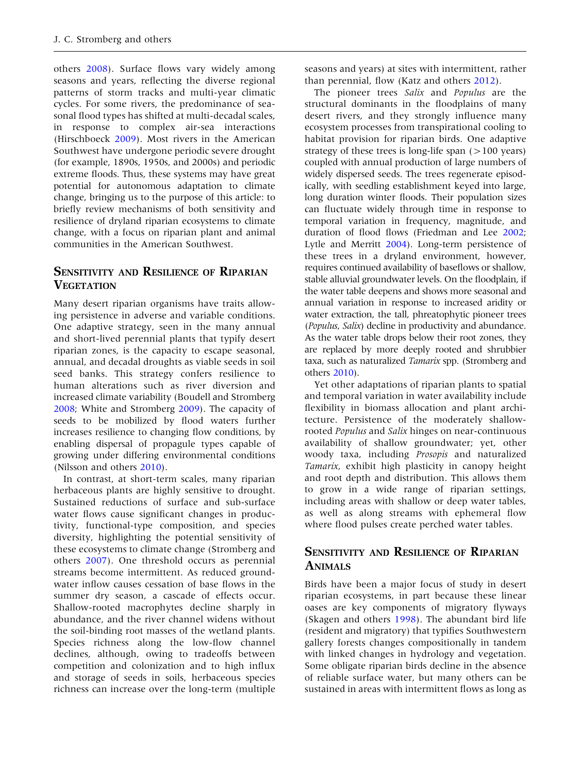others [2008](#page-4-0)). Surface flows vary widely among seasons and years, reflecting the diverse regional patterns of storm tracks and multi-year climatic cycles. For some rivers, the predominance of seasonal flood types has shifted at multi-decadal scales, in response to complex air-sea interactions (Hirschboeck [2009](#page-3-0)). Most rivers in the American Southwest have undergone periodic severe drought (for example, 1890s, 1950s, and 2000s) and periodic extreme floods. Thus, these systems may have great potential for autonomous adaptation to climate change, bringing us to the purpose of this article: to briefly review mechanisms of both sensitivity and resilience of dryland riparian ecosystems to climate change, with a focus on riparian plant and animal communities in the American Southwest.

### SENSITIVITY AND RESILIENCE OF RIPARIAN **VEGETATION**

Many desert riparian organisms have traits allowing persistence in adverse and variable conditions. One adaptive strategy, seen in the many annual and short-lived perennial plants that typify desert riparian zones, is the capacity to escape seasonal, annual, and decadal droughts as viable seeds in soil seed banks. This strategy confers resilience to human alterations such as river diversion and increased climate variability (Boudell and Stromberg [2008;](#page-3-0) White and Stromberg [2009](#page-4-0)). The capacity of seeds to be mobilized by flood waters further increases resilience to changing flow conditions, by enabling dispersal of propagule types capable of growing under differing environmental conditions (Nilsson and others [2010](#page-4-0)).

In contrast, at short-term scales, many riparian herbaceous plants are highly sensitive to drought. Sustained reductions of surface and sub-surface water flows cause significant changes in productivity, functional-type composition, and species diversity, highlighting the potential sensitivity of these ecosystems to climate change (Stromberg and others [2007\)](#page-4-0). One threshold occurs as perennial streams become intermittent. As reduced groundwater inflow causes cessation of base flows in the summer dry season, a cascade of effects occur. Shallow-rooted macrophytes decline sharply in abundance, and the river channel widens without the soil-binding root masses of the wetland plants. Species richness along the low-flow channel declines, although, owing to tradeoffs between competition and colonization and to high influx and storage of seeds in soils, herbaceous species richness can increase over the long-term (multiple seasons and years) at sites with intermittent, rather than perennial, flow (Katz and others [2012](#page-4-0)).

The pioneer trees Salix and Populus are the structural dominants in the floodplains of many desert rivers, and they strongly influence many ecosystem processes from transpirational cooling to habitat provision for riparian birds. One adaptive strategy of these trees is long-life span  $(>100 \text{ years})$ coupled with annual production of large numbers of widely dispersed seeds. The trees regenerate episodically, with seedling establishment keyed into large, long duration winter floods. Their population sizes can fluctuate widely through time in response to temporal variation in frequency, magnitude, and duration of flood flows (Friedman and Lee [2002](#page-3-0); Lytle and Merritt [2004](#page-4-0)). Long-term persistence of these trees in a dryland environment, however, requires continued availability of baseflows or shallow, stable alluvial groundwater levels. On the floodplain, if the water table deepens and shows more seasonal and annual variation in response to increased aridity or water extraction, the tall, phreatophytic pioneer trees (Populus, Salix) decline in productivity and abundance. As the water table drops below their root zones, they are replaced by more deeply rooted and shrubbier taxa, such as naturalized Tamarix spp. (Stromberg and others [2010\)](#page-4-0).

Yet other adaptations of riparian plants to spatial and temporal variation in water availability include flexibility in biomass allocation and plant architecture. Persistence of the moderately shallowrooted Populus and Salix hinges on near-continuous availability of shallow groundwater; yet, other woody taxa, including Prosopis and naturalized Tamarix, exhibit high plasticity in canopy height and root depth and distribution. This allows them to grow in a wide range of riparian settings, including areas with shallow or deep water tables, as well as along streams with ephemeral flow where flood pulses create perched water tables.

#### SENSITIVITY AND RESILIENCE OF RIPARIAN ANIMALS

Birds have been a major focus of study in desert riparian ecosystems, in part because these linear oases are key components of migratory flyways (Skagen and others [1998](#page-4-0)). The abundant bird life (resident and migratory) that typifies Southwestern gallery forests changes compositionally in tandem with linked changes in hydrology and vegetation. Some obligate riparian birds decline in the absence of reliable surface water, but many others can be sustained in areas with intermittent flows as long as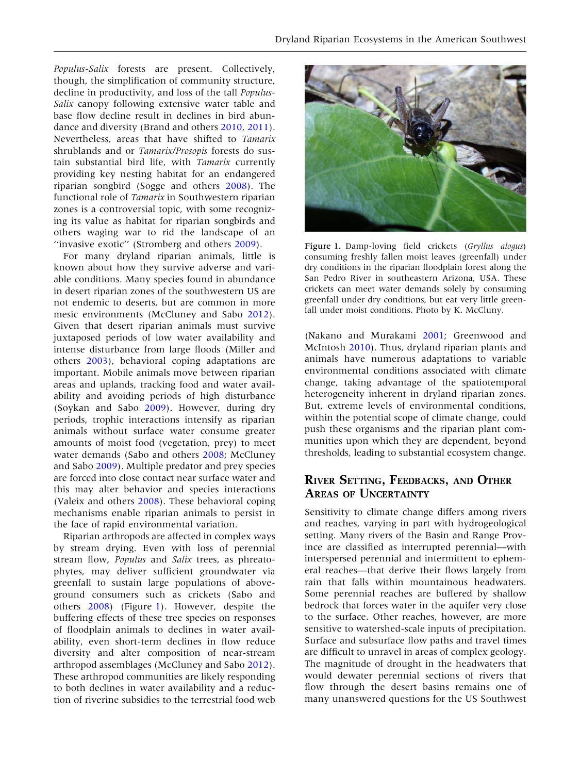Populus-Salix forests are present. Collectively, though, the simplification of community structure, decline in productivity, and loss of the tall *Populus*-Salix canopy following extensive water table and base flow decline result in declines in bird abundance and diversity (Brand and others [2010](#page-3-0), [2011](#page-3-0)). Nevertheless, areas that have shifted to Tamarix shrublands and or Tamarix/Prosopis forests do sustain substantial bird life, with Tamarix currently providing key nesting habitat for an endangered riparian songbird (Sogge and others [2008\)](#page-4-0). The functional role of Tamarix in Southwestern riparian zones is a controversial topic, with some recognizing its value as habitat for riparian songbirds and others waging war to rid the landscape of an ''invasive exotic'' (Stromberg and others [2009](#page-4-0)).

For many dryland riparian animals, little is known about how they survive adverse and variable conditions. Many species found in abundance in desert riparian zones of the southwestern US are not endemic to deserts, but are common in more mesic environments (McCluney and Sabo [2012](#page-4-0)). Given that desert riparian animals must survive juxtaposed periods of low water availability and intense disturbance from large floods (Miller and others [2003\)](#page-4-0), behavioral coping adaptations are important. Mobile animals move between riparian areas and uplands, tracking food and water availability and avoiding periods of high disturbance (Soykan and Sabo [2009](#page-4-0)). However, during dry periods, trophic interactions intensify as riparian animals without surface water consume greater amounts of moist food (vegetation, prey) to meet water demands (Sabo and others [2008;](#page-4-0) McCluney and Sabo [2009](#page-4-0)). Multiple predator and prey species are forced into close contact near surface water and this may alter behavior and species interactions (Valeix and others [2008](#page-4-0)). These behavioral coping mechanisms enable riparian animals to persist in the face of rapid environmental variation.

Riparian arthropods are affected in complex ways by stream drying. Even with loss of perennial stream flow, Populus and Salix trees, as phreatophytes, may deliver sufficient groundwater via greenfall to sustain large populations of aboveground consumers such as crickets (Sabo and others [2008](#page-4-0)) (Figure 1). However, despite the buffering effects of these tree species on responses of floodplain animals to declines in water availability, even short-term declines in flow reduce diversity and alter composition of near-stream arthropod assemblages (McCluney and Sabo [2012](#page-4-0)). These arthropod communities are likely responding to both declines in water availability and a reduction of riverine subsidies to the terrestrial food web



Figure 1. Damp-loving field crickets (Gryllus alogus) consuming freshly fallen moist leaves (greenfall) under dry conditions in the riparian floodplain forest along the San Pedro River in southeastern Arizona, USA. These crickets can meet water demands solely by consuming greenfall under dry conditions, but eat very little greenfall under moist conditions. Photo by K. McCluny.

(Nakano and Murakami [2001;](#page-4-0) Greenwood and McIntosh [2010](#page-3-0)). Thus, dryland riparian plants and animals have numerous adaptations to variable environmental conditions associated with climate change, taking advantage of the spatiotemporal heterogeneity inherent in dryland riparian zones. But, extreme levels of environmental conditions, within the potential scope of climate change, could push these organisms and the riparian plant communities upon which they are dependent, beyond thresholds, leading to substantial ecosystem change.

## RIVER SETTING, FEEDBACKS, AND OTHER AREAS OF UNCERTAINTY

Sensitivity to climate change differs among rivers and reaches, varying in part with hydrogeological setting. Many rivers of the Basin and Range Province are classified as interrupted perennial—with interspersed perennial and intermittent to ephemeral reaches—that derive their flows largely from rain that falls within mountainous headwaters. Some perennial reaches are buffered by shallow bedrock that forces water in the aquifer very close to the surface. Other reaches, however, are more sensitive to watershed-scale inputs of precipitation. Surface and subsurface flow paths and travel times are difficult to unravel in areas of complex geology. The magnitude of drought in the headwaters that would dewater perennial sections of rivers that flow through the desert basins remains one of many unanswered questions for the US Southwest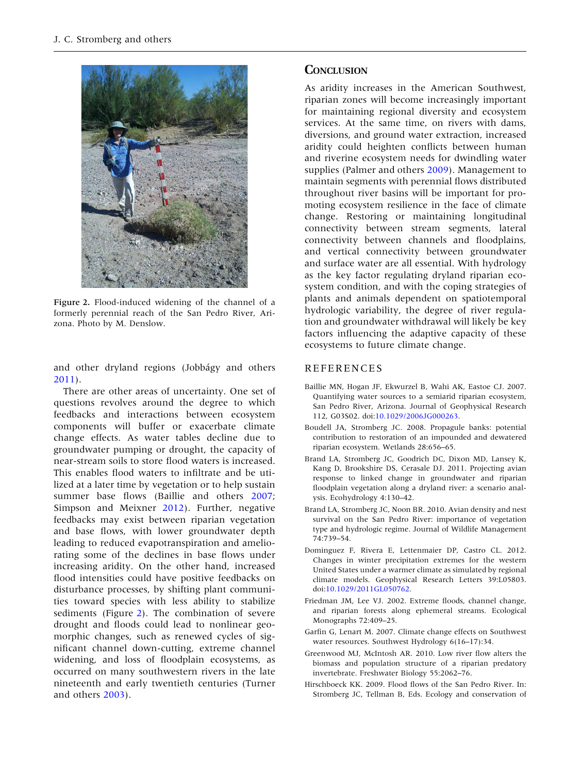<span id="page-3-0"></span>

Figure 2. Flood-induced widening of the channel of a formerly perennial reach of the San Pedro River, Arizona. Photo by M. Denslow.

and other dryland regions (Jobbágy and others [2011\)](#page-4-0).

There are other areas of uncertainty. One set of questions revolves around the degree to which feedbacks and interactions between ecosystem components will buffer or exacerbate climate change effects. As water tables decline due to groundwater pumping or drought, the capacity of near-stream soils to store flood waters is increased. This enables flood waters to infiltrate and be utilized at a later time by vegetation or to help sustain summer base flows (Baillie and others 2007; Simpson and Meixner [2012\)](#page-4-0). Further, negative feedbacks may exist between riparian vegetation and base flows, with lower groundwater depth leading to reduced evapotranspiration and ameliorating some of the declines in base flows under increasing aridity. On the other hand, increased flood intensities could have positive feedbacks on disturbance processes, by shifting plant communities toward species with less ability to stabilize sediments (Figure 2). The combination of severe drought and floods could lead to nonlinear geomorphic changes, such as renewed cycles of significant channel down-cutting, extreme channel widening, and loss of floodplain ecosystems, as occurred on many southwestern rivers in the late nineteenth and early twentieth centuries (Turner and others [2003\)](#page-4-0).

#### **CONCLUSION**

As aridity increases in the American Southwest, riparian zones will become increasingly important for maintaining regional diversity and ecosystem services. At the same time, on rivers with dams, diversions, and ground water extraction, increased aridity could heighten conflicts between human and riverine ecosystem needs for dwindling water supplies (Palmer and others [2009](#page-4-0)). Management to maintain segments with perennial flows distributed throughout river basins will be important for promoting ecosystem resilience in the face of climate change. Restoring or maintaining longitudinal connectivity between stream segments, lateral connectivity between channels and floodplains, and vertical connectivity between groundwater and surface water are all essential. With hydrology as the key factor regulating dryland riparian ecosystem condition, and with the coping strategies of plants and animals dependent on spatiotemporal hydrologic variability, the degree of river regulation and groundwater withdrawal will likely be key factors influencing the adaptive capacity of these ecosystems to future climate change.

#### REFERENCES

- Baillie MN, Hogan JF, Ekwurzel B, Wahi AK, Eastoe CJ. 2007. Quantifying water sources to a semiarid riparian ecosystem, San Pedro River, Arizona. Journal of Geophysical Research 112, G03S02. doi[:10.1029/2006JG000263](http://dx.doi.org/10.1029/2006JG000263).
- Boudell JA, Stromberg JC. 2008. Propagule banks: potential contribution to restoration of an impounded and dewatered riparian ecosystem. Wetlands 28:656–65.
- Brand LA, Stromberg JC, Goodrich DC, Dixon MD, Lansey K, Kang D, Brookshire DS, Cerasale DJ. 2011. Projecting avian response to linked change in groundwater and riparian floodplain vegetation along a dryland river: a scenario analysis. Ecohydrology 4:130–42.
- Brand LA, Stromberg JC, Noon BR. 2010. Avian density and nest survival on the San Pedro River: importance of vegetation type and hydrologic regime. Journal of Wildlife Management 74:739–54.
- Dominguez F, Rivera E, Lettenmaier DP, Castro CL. 2012. Changes in winter precipitation extremes for the western United States under a warmer climate as simulated by regional climate models. Geophysical Research Letters 39:L05803. doi:[10.1029/2011GL050762](http://dx.doi.org/10.1029/2011GL050762).
- Friedman JM, Lee VJ. 2002. Extreme floods, channel change, and riparian forests along ephemeral streams. Ecological Monographs 72:409–25.
- Garfin G, Lenart M. 2007. Climate change effects on Southwest water resources. Southwest Hydrology 6(16–17):34.
- Greenwood MJ, McIntosh AR. 2010. Low river flow alters the biomass and population structure of a riparian predatory invertebrate. Freshwater Biology 55:2062–76.
- Hirschboeck KK. 2009. Flood flows of the San Pedro River. In: Stromberg JC, Tellman B, Eds. Ecology and conservation of